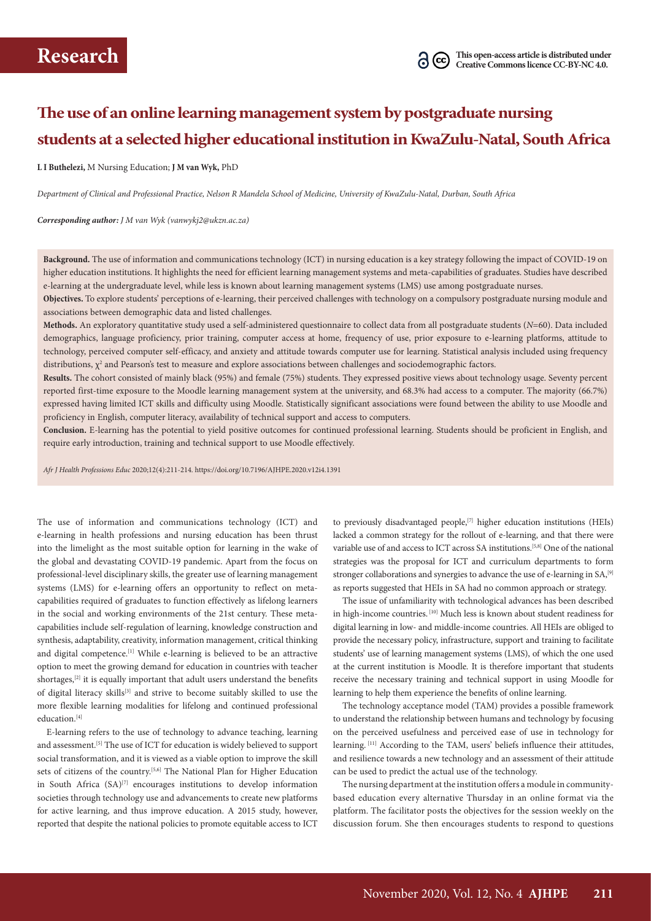# **The use of an online learning management system by postgraduate nursing students at a selected higher educational institution in KwaZulu-Natal, South Africa**

#### **L I Buthelezi,** M Nursing Education; **J M van Wyk,** PhD

*Department of Clinical and Professional Practice, Nelson R Mandela School of Medicine, University of KwaZulu-Natal, Durban, South Africa*

*Corresponding author: J M van Wyk (vanwykj2@ukzn.ac.za)*

**Background.** The use of information and communications technology (ICT) in nursing education is a key strategy following the impact of COVID-19 on higher education institutions. It highlights the need for efficient learning management systems and meta-capabilities of graduates. Studies have described e-learning at the undergraduate level, while less is known about learning management systems (LMS) use among postgraduate nurses.

**Objectives.** To explore students' perceptions of e-learning, their perceived challenges with technology on a compulsory postgraduate nursing module and associations between demographic data and listed challenges.

**Methods.** An exploratory quantitative study used a self-administered questionnaire to collect data from all postgraduate students (*N*=60). Data included demographics, language proficiency, prior training, computer access at home, frequency of use, prior exposure to e-learning platforms, attitude to technology, perceived computer self-efficacy, and anxiety and attitude towards computer use for learning. Statistical analysis included using frequency distributions,  $\chi^2$  and Pearson's test to measure and explore associations between challenges and sociodemographic factors.

**Results.** The cohort consisted of mainly black (95%) and female (75%) students. They expressed positive views about technology usage. Seventy percent reported first-time exposure to the Moodle learning management system at the university, and 68.3% had access to a computer. The majority (66.7%) expressed having limited ICT skills and difficulty using Moodle. Statistically significant associations were found between the ability to use Moodle and proficiency in English, computer literacy, availability of technical support and access to computers.

**Conclusion.** E-learning has the potential to yield positive outcomes for continued professional learning. Students should be proficient in English, and require early introduction, training and technical support to use Moodle effectively.

*Afr J Health Professions Educ* 2020;12(4):211-214. https://doi.org/10.7196/AJHPE.2020.v12i4.1391

The use of information and communications technology (ICT) and e-learning in health professions and nursing education has been thrust into the limelight as the most suitable option for learning in the wake of the global and devastating COVID-19 pandemic. Apart from the focus on professional-level disciplinary skills, the greater use of learning management systems (LMS) for e-learning offers an opportunity to reflect on metacapabilities required of graduates to function effectively as lifelong learners in the social and working environments of the 21st century. These metacapabilities include self-regulation of learning, knowledge construction and synthesis, adaptability, creativity, information management, critical thinking and digital competence.<sup>[1]</sup> While e-learning is believed to be an attractive option to meet the growing demand for education in countries with teacher shortages,<sup>[2]</sup> it is equally important that adult users understand the benefits of digital literacy skills<sup>[3]</sup> and strive to become suitably skilled to use the more flexible learning modalities for lifelong and continued professional education.<sup>[4]</sup>

E-learning refers to the use of technology to advance teaching, learning and assessment.[5] The use of ICT for education is widely believed to support social transformation, and it is viewed as a viable option to improve the skill sets of citizens of the country.<sup>[5,6]</sup> The National Plan for Higher Education in South Africa  $(SA)^{[7]}$  encourages institutions to develop information societies through technology use and advancements to create new platforms for active learning, and thus improve education. A 2015 study, however, reported that despite the national policies to promote equitable access to ICT

to previously disadvantaged people,<sup>[7]</sup> higher education institutions (HEIs) lacked a common strategy for the rollout of e-learning, and that there were variable use of and access to ICT across SA institutions.[5,8] One of the national strategies was the proposal for ICT and curriculum departments to form stronger collaborations and synergies to advance the use of e-learning in SA,<sup>[9]</sup> as reports suggested that HEIs in SA had no common approach or strategy.

The issue of unfamiliarity with technological advances has been described in high-income countries. [10] Much less is known about student readiness for digital learning in low- and middle-income countries. All HEIs are obliged to provide the necessary policy, infrastructure, support and training to facilitate students' use of learning management systems (LMS), of which the one used at the current institution is Moodle. It is therefore important that students receive the necessary training and technical support in using Moodle for learning to help them experience the benefits of online learning.

The technology acceptance model (TAM) provides a possible framework to understand the relationship between humans and technology by focusing on the perceived usefulness and perceived ease of use in technology for learning. [11] According to the TAM, users' beliefs influence their attitudes, and resilience towards a new technology and an assessment of their attitude can be used to predict the actual use of the technology.

The nursing department at the institution offers a module in communitybased education every alternative Thursday in an online format via the platform. The facilitator posts the objectives for the session weekly on the discussion forum. She then encourages students to respond to questions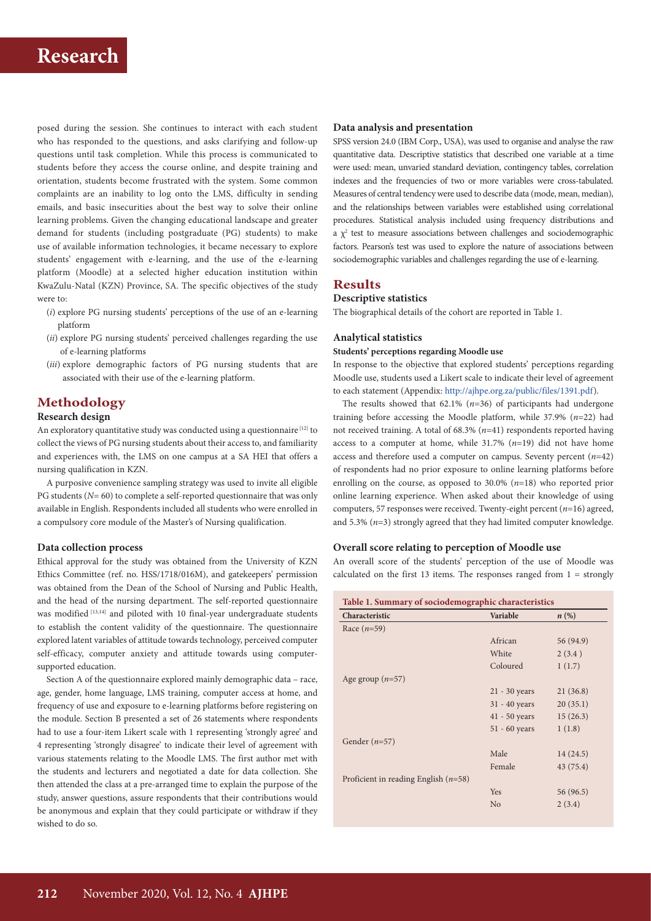

posed during the session. She continues to interact with each student who has responded to the questions, and asks clarifying and follow-up questions until task completion. While this process is communicated to students before they access the course online, and despite training and orientation, students become frustrated with the system. Some common complaints are an inability to log onto the LMS, difficulty in sending emails, and basic insecurities about the best way to solve their online learning problems. Given the changing educational landscape and greater demand for students (including postgraduate (PG) students) to make use of available information technologies, it became necessary to explore students' engagement with e-learning, and the use of the e-learning platform (Moodle) at a selected higher education institution within KwaZulu-Natal (KZN) Province, SA. The specific objectives of the study were to:

- (*i*) explore PG nursing students' perceptions of the use of an e-learning platform
- (*ii*) explore PG nursing students' perceived challenges regarding the use of e-learning platforms
- (*iii*) explore demographic factors of PG nursing students that are associated with their use of the e-learning platform.

## **Methodology**

### **Research design**

An exploratory quantitative study was conducted using a questionnaire [12] to collect the views of PG nursing students about their access to, and familiarity and experiences with, the LMS on one campus at a SA HEI that offers a nursing qualification in KZN.

A purposive convenience sampling strategy was used to invite all eligible PG students (*N*= 60) to complete a self-reported questionnaire that was only available in English. Respondents included all students who were enrolled in a compulsory core module of the Master's of Nursing qualification.

#### **Data collection process**

Ethical approval for the study was obtained from the University of KZN Ethics Committee (ref. no. HSS/1718/016M), and gatekeepers' permission was obtained from the Dean of the School of Nursing and Public Health, and the head of the nursing department. The self-reported questionnaire was modified [13,14] and piloted with 10 final-year undergraduate students to establish the content validity of the questionnaire. The questionnaire explored latent variables of attitude towards technology, perceived computer self-efficacy, computer anxiety and attitude towards using computersupported education.

Section A of the questionnaire explored mainly demographic data – race, age, gender, home language, LMS training, computer access at home, and frequency of use and exposure to e-learning platforms before registering on the module. Section B presented a set of 26 statements where respondents had to use a four-item Likert scale with 1 representing 'strongly agree' and 4 representing 'strongly disagree' to indicate their level of agreement with various statements relating to the Moodle LMS. The first author met with the students and lecturers and negotiated a date for data collection. She then attended the class at a pre-arranged time to explain the purpose of the study, answer questions, assure respondents that their contributions would be anonymous and explain that they could participate or withdraw if they wished to do so.

#### **Data analysis and presentation**

SPSS version 24.0 (IBM Corp., USA), was used to organise and analyse the raw quantitative data. Descriptive statistics that described one variable at a time were used: mean, unvaried standard deviation, contingency tables, correlation indexes and the frequencies of two or more variables were cross-tabulated. Measures of central tendency were used to describe data (mode, mean, median), and the relationships between variables were established using correlational procedures. Statistical analysis included using frequency distributions and a  $\chi^2$  test to measure associations between challenges and sociodemographic factors. Pearson's test was used to explore the nature of associations between sociodemographic variables and challenges regarding the use of e-learning.

## **Results**

## **Descriptive statistics**

The biographical details of the cohort are reported in Table 1.

#### **Analytical statistics**

#### **Students' perceptions regarding Moodle use**

In response to the objective that explored students' perceptions regarding Moodle use, students used a Likert scale to indicate their level of agreement to each statement (Appendix: [http://ajhpe.org.za/public/files/1391.pdf\)](http://ajhpe.org.za/public/files/1391.pdf).

The results showed that 62.1% (*n*=36) of participants had undergone training before accessing the Moodle platform, while 37.9% (*n*=22) had not received training. A total of 68.3% (*n*=41) respondents reported having access to a computer at home, while 31.7% (*n*=19) did not have home access and therefore used a computer on campus. Seventy percent (*n*=42) of respondents had no prior exposure to online learning platforms before enrolling on the course, as opposed to 30.0% (*n*=18) who reported prior online learning experience. When asked about their knowledge of using computers, 57 responses were received. Twenty-eight percent (*n*=16) agreed, and 5.3% (*n*=3) strongly agreed that they had limited computer knowledge.

## **Overall score relating to perception of Moodle use**

An overall score of the students' perception of the use of Moodle was calculated on the first 13 items. The responses ranged from  $1 =$  strongly

| Table 1. Summary of sociodemographic characteristics |                    |  |
|------------------------------------------------------|--------------------|--|
| <b>Variable</b>                                      | $n\left(\%\right)$ |  |
|                                                      |                    |  |
| African                                              | 56 (94.9)          |  |
| White                                                | 2(3.4)             |  |
| Coloured                                             | 1(1.7)             |  |
|                                                      |                    |  |
| $21 - 30$ years                                      | 21(36.8)           |  |
| $31 - 40$ years                                      | 20(35.1)           |  |
| $41 - 50$ years                                      | 15(26.3)           |  |
| $51 - 60$ years                                      | 1(1.8)             |  |
|                                                      |                    |  |
| Male                                                 | 14(24.5)           |  |
| Female                                               | 43 (75.4)          |  |
|                                                      |                    |  |
| Yes                                                  | 56 (96.5)          |  |
| No                                                   | 2(3.4)             |  |
|                                                      |                    |  |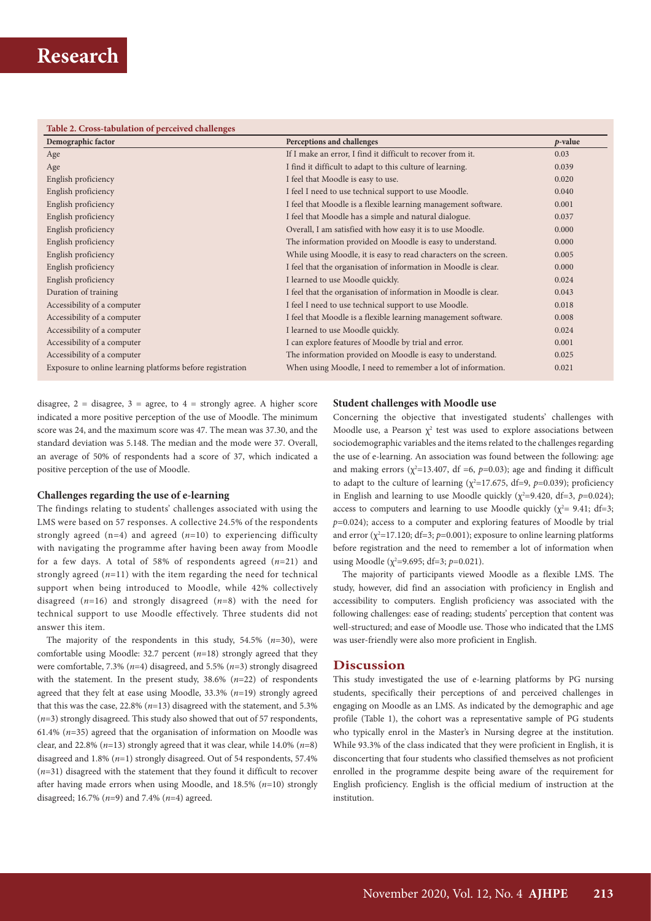| Table 2. Cross-tabulation of perceived challenges         |                                                                  |            |  |
|-----------------------------------------------------------|------------------------------------------------------------------|------------|--|
| Demographic factor                                        | Perceptions and challenges                                       | $p$ -value |  |
| Age                                                       | If I make an error, I find it difficult to recover from it.      | 0.03       |  |
| Age                                                       | I find it difficult to adapt to this culture of learning.        | 0.039      |  |
| English proficiency                                       | I feel that Moodle is easy to use.                               | 0.020      |  |
| English proficiency                                       | I feel I need to use technical support to use Moodle.            | 0.040      |  |
| English proficiency                                       | I feel that Moodle is a flexible learning management software.   | 0.001      |  |
| English proficiency                                       | I feel that Moodle has a simple and natural dialogue.            | 0.037      |  |
| English proficiency                                       | Overall, I am satisfied with how easy it is to use Moodle.       | 0.000      |  |
| English proficiency                                       | The information provided on Moodle is easy to understand.        | 0.000      |  |
| English proficiency                                       | While using Moodle, it is easy to read characters on the screen. | 0.005      |  |
| English proficiency                                       | I feel that the organisation of information in Moodle is clear.  | 0.000      |  |
| English proficiency                                       | I learned to use Moodle quickly.                                 | 0.024      |  |
| Duration of training                                      | I feel that the organisation of information in Moodle is clear.  | 0.043      |  |
| Accessibility of a computer                               | I feel I need to use technical support to use Moodle.            | 0.018      |  |
| Accessibility of a computer                               | I feel that Moodle is a flexible learning management software.   | 0.008      |  |
| Accessibility of a computer                               | I learned to use Moodle quickly.                                 | 0.024      |  |
| Accessibility of a computer                               | I can explore features of Moodle by trial and error.             | 0.001      |  |
| Accessibility of a computer                               | The information provided on Moodle is easy to understand.        | 0.025      |  |
| Exposure to online learning platforms before registration | When using Moodle, I need to remember a lot of information.      | 0.021      |  |

disagree,  $2 =$  disagree,  $3 =$  agree, to  $4 =$  strongly agree. A higher score indicated a more positive perception of the use of Moodle. The minimum score was 24, and the maximum score was 47. The mean was 37.30, and the standard deviation was 5.148. The median and the mode were 37. Overall, an average of 50% of respondents had a score of 37, which indicated a positive perception of the use of Moodle.

## **Challenges regarding the use of e-learning**

The findings relating to students' challenges associated with using the LMS were based on 57 responses. A collective 24.5% of the respondents strongly agreed (n*=*4) and agreed (*n*=10) to experiencing difficulty with navigating the programme after having been away from Moodle for a few days. A total of 58% of respondents agreed (*n*=21) and strongly agreed  $(n=11)$  with the item regarding the need for technical support when being introduced to Moodle, while 42% collectively disagreed (*n*=16) and strongly disagreed (*n*=8) with the need for technical support to use Moodle effectively. Three students did not answer this item.

The majority of the respondents in this study, 54.5% (*n*=30), were comfortable using Moodle: 32.7 percent (*n*=18) strongly agreed that they were comfortable, 7.3% (*n*=4) disagreed, and 5.5% (*n*=3) strongly disagreed with the statement. In the present study, 38.6% (*n*=22) of respondents agreed that they felt at ease using Moodle, 33.3% (*n*=19) strongly agreed that this was the case, 22.8% (*n*=13) disagreed with the statement, and 5.3%  $(n=3)$  strongly disagreed. This study also showed that out of 57 respondents, 61.4% (*n*=35) agreed that the organisation of information on Moodle was clear, and 22.8% (*n*=13) strongly agreed that it was clear, while 14.0% (*n*=8) disagreed and 1.8% (*n*=1) strongly disagreed. Out of 54 respondents, 57.4% (*n*=31) disagreed with the statement that they found it difficult to recover after having made errors when using Moodle, and 18.5% (*n*=10) strongly disagreed; 16.7% (*n*=9) and 7.4% (*n*=4) agreed.

## **Student challenges with Moodle use**

Concerning the objective that investigated students' challenges with Moodle use, a Pearson  $\chi^2$  test was used to explore associations between sociodemographic variables and the items related to the challenges regarding the use of e-learning. An association was found between the following: age and making errors ( $\chi^2$ =13.407, df =6,  $p$ =0.03); age and finding it difficult to adapt to the culture of learning ( $\chi^2$ =17.675, df=9, *p*=0.039); proficiency in English and learning to use Moodle quickly  $(\chi^2=9.420, df=3, p=0.024)$ ; access to computers and learning to use Moodle quickly ( $\chi^2$  = 9.41; df = 3; *p*=0.024); access to a computer and exploring features of Moodle by trial and error ( $\chi^2$ =17.120; df=3; *p*=0.001); exposure to online learning platforms before registration and the need to remember a lot of information when using Moodle ( $\chi^2$ =9.695; df=3; *p*=0.021).

The majority of participants viewed Moodle as a flexible LMS. The study, however, did find an association with proficiency in English and accessibility to computers. English proficiency was associated with the following challenges: ease of reading; students' perception that content was well-structured; and ease of Moodle use. Those who indicated that the LMS was user-friendly were also more proficient in English.

## **Discussion**

This study investigated the use of e-learning platforms by PG nursing students, specifically their perceptions of and perceived challenges in engaging on Moodle as an LMS. As indicated by the demographic and age profile (Table 1), the cohort was a representative sample of PG students who typically enrol in the Master's in Nursing degree at the institution. While 93.3% of the class indicated that they were proficient in English, it is disconcerting that four students who classified themselves as not proficient enrolled in the programme despite being aware of the requirement for English proficiency. English is the official medium of instruction at the institution.